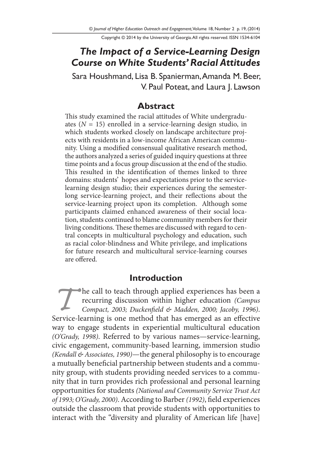Copyright © 2014 by the University of Georgia. All rights reserved. ISSN 1534-6104

# *The Impact of a Service-Learning Design Course on White Students' Racial Attitudes*

Sara Houshmand, Lisa B. Spanierman, Amanda M. Beer, V. Paul Poteat, and Laura J. Lawson

### **Abstract**

This study examined the racial attitudes of White undergraduates (*N* = 15) enrolled in a service-learning design studio, in which students worked closely on landscape architecture projects with residents in a low-income African American community. Using a modified consensual qualitative research method, the authors analyzed a series of guided inquiry questions at three time points and a focus group discussion at the end of the studio. This resulted in the identification of themes linked to three domains: students' hopes and expectations prior to the servicelearning design studio; their experiences during the semesterlong service-learning project, and their reflections about the service-learning project upon its completion. Although some participants claimed enhanced awareness of their social location, students continued to blame community members for their living conditions. These themes are discussed with regard to central concepts in multicultural psychology and education, such as racial color-blindness and White privilege, and implications for future research and multicultural service-learning courses are offered.

#### **Introduction**

**The call to teach through applied experiences has been a**<br>
recurring discussion within higher education (*Campus*<br> *Compact, 2003; Duckenfield & Madden, 2000; Jacoby, 1996)*.<br>
Service-learning is one method that has emerg recurring discussion within higher education *(Campus Compact, 2003; Duckenfield & Madden, 2000; Jacoby, 1996)*. way to engage students in experiential multicultural education *(O'Grady, 1998)*. Referred to by various names—service-learning, civic engagement, community-based learning, immersion studio *(Kendall & Associates, 1990)*—the general philosophy is to encourage a mutually beneficial partnership between students and a community group, with students providing needed services to a community that in turn provides rich professional and personal learning opportunities for students *(National and Community Service Trust Act of 1993; O'Grady, 2000)*. According to Barber *(1992)*, field experiences outside the classroom that provide students with opportunities to interact with the "diversity and plurality of American life [have]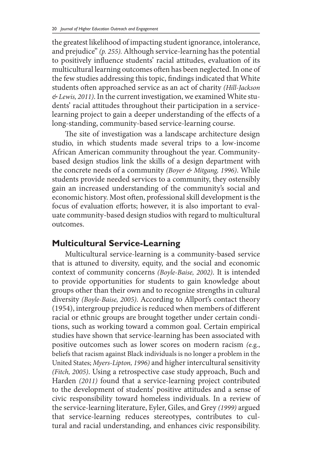the greatest likelihood of impacting student ignorance, intolerance, and prejudice" *(p. 255).* Although service-learning has the potential to positively influence students' racial attitudes, evaluation of its multicultural learning outcomes often has been neglected. In one of the few studies addressing this topic, findings indicated that White students often approached service as an act of charity *(Hill-Jackson & Lewis, 2011)*. In the current investigation, we examined White students' racial attitudes throughout their participation in a servicelearning project to gain a deeper understanding of the effects of a long-standing, community-based service-learning course.

The site of investigation was a landscape architecture design studio, in which students made several trips to a low-income African American community throughout the year. Communitybased design studios link the skills of a design department with the concrete needs of a community *(Boyer & Mitgang, 1996)*. While students provide needed services to a community, they ostensibly gain an increased understanding of the community's social and economic history. Most often, professional skill development is the focus of evaluation efforts; however, it is also important to evaluate community-based design studios with regard to multicultural outcomes.

### **Multicultural Service-Learning**

Multicultural service-learning is a community-based service that is attuned to diversity, equity, and the social and economic context of community concerns *(Boyle-Baise, 2002)*. It is intended to provide opportunities for students to gain knowledge about groups other than their own and to recognize strengths in cultural diversity *(Boyle-Baise, 2005)*. According to Allport's contact theory (1954), intergroup prejudice is reduced when members of different racial or ethnic groups are brought together under certain conditions, such as working toward a common goal. Certain empirical studies have shown that service-learning has been associated with positive outcomes such as lower scores on modern racism *(*e.g., beliefs that racism against Black individuals is no longer a problem in the United States; *Myers-Lipton, 1996)* and higher intercultural sensitivity *(Fitch, 2005)*. Using a retrospective case study approach, Buch and Harden *(2011)* found that a service-learning project contributed to the development of students' positive attitudes and a sense of civic responsibility toward homeless individuals. In a review of the service-learning literature, Eyler, Giles, and Grey *(1999)* argued that service-learning reduces stereotypes, contributes to cultural and racial understanding, and enhances civic responsibility.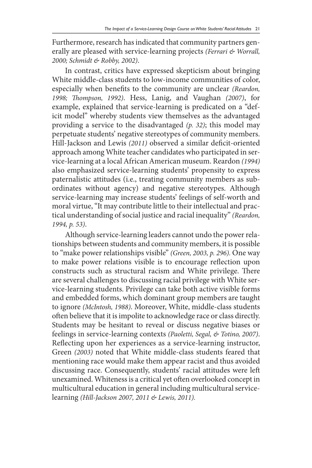Furthermore, research has indicated that community partners generally are pleased with service-learning projects *(Ferrari & Worrall, 2000; Schmidt & Robby, 2002)*.

In contrast, critics have expressed skepticism about bringing White middle-class students to low-income communities of color, especially when benefits to the community are unclear *(Reardon, 1998; Thompson, 1992)*. Hess, Lanig, and Vaughan *(2007)*, for example, explained that service-learning is predicated on a "deficit model" whereby students view themselves as the advantaged providing a service to the disadvantaged *(p. 32)*; this model may perpetuate students' negative stereotypes of community members. Hill-Jackson and Lewis *(2011)* observed a similar deficit-oriented approach among White teacher candidates who participated in service-learning at a local African American museum. Reardon *(1994)* also emphasized service-learning students' propensity to express paternalistic attitudes (i.e., treating community members as subordinates without agency) and negative stereotypes. Although service-learning may increase students' feelings of self-worth and moral virtue, "It may contribute little to their intellectual and practical understanding of social justice and racial inequality" *(Reardon, 1994, p. 53)*.

Although service-learning leaders cannot undo the power relationships between students and community members, it is possible to "make power relationships visible" *(Green, 2003, p. 296).* One way to make power relations visible is to encourage reflection upon constructs such as structural racism and White privilege. There are several challenges to discussing racial privilege with White service-learning students. Privilege can take both active visible forms and embedded forms, which dominant group members are taught to ignore *(McIntosh, 1988)*. Moreover, White, middle-class students often believe that it is impolite to acknowledge race or class directly. Students may be hesitant to reveal or discuss negative biases or feelings in service-learning contexts *(Paoletti, Segal, & Totino, 2007)*. Reflecting upon her experiences as a service-learning instructor, Green *(2003)* noted that White middle-class students feared that mentioning race would make them appear racist and thus avoided discussing race. Consequently, students' racial attitudes were left unexamined. Whiteness is a critical yet often overlooked concept in multicultural education in general including multicultural servicelearning *(Hill-Jackson 2007, 2011 & Lewis, 2011).*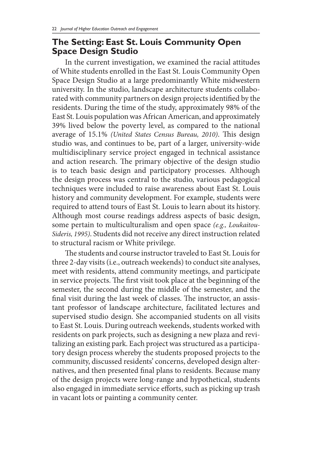### **The Setting: East St. Louis Community Open Space Design Studio**

In the current investigation, we examined the racial attitudes of White students enrolled in the East St. Louis Community Open Space Design Studio at a large predominantly White midwestern university. In the studio, landscape architecture students collaborated with community partners on design projects identified by the residents. During the time of the study, approximately 98% of the East St. Louis population was African American, and approximately 39% lived below the poverty level, as compared to the national average of 15.1% *(United States Census Bureau, 2010)*. This design studio was, and continues to be, part of a larger, university-wide multidisciplinary service project engaged in technical assistance and action research. The primary objective of the design studio is to teach basic design and participatory processes. Although the design process was central to the studio, various pedagogical techniques were included to raise awareness about East St. Louis history and community development. For example, students were required to attend tours of East St. Louis to learn about its history. Although most course readings address aspects of basic design, some pertain to multiculturalism and open space *(e.g., Loukaitou-Sideris, 1995)*. Students did not receive any direct instruction related to structural racism or White privilege.

The students and course instructor traveled to East St. Louis for three 2-day visits (i.e., outreach weekends) to conduct site analyses, meet with residents, attend community meetings, and participate in service projects. The first visit took place at the beginning of the semester, the second during the middle of the semester, and the final visit during the last week of classes. The instructor, an assistant professor of landscape architecture, facilitated lectures and supervised studio design. She accompanied students on all visits to East St. Louis. During outreach weekends, students worked with residents on park projects, such as designing a new plaza and revitalizing an existing park. Each project was structured as a participatory design process whereby the students proposed projects to the community, discussed residents' concerns, developed design alternatives, and then presented final plans to residents. Because many of the design projects were long-range and hypothetical, students also engaged in immediate service efforts, such as picking up trash in vacant lots or painting a community center.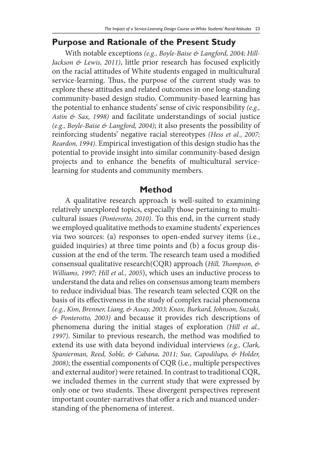### **Purpose and Rationale of the Present Study**

With notable exceptions *(e.g., Boyle-Baise & Langford, 2004; Hill-Jackson & Lewis, 2011)*, little prior research has focused explicitly on the racial attitudes of White students engaged in multicultural service-learning. Thus, the purpose of the current study was to explore these attitudes and related outcomes in one long-standing community-based design studio. Community-based learning has the potential to enhance students' sense of civic responsibility *(e.g., Astin & Sax, 1998)* and facilitate understandings of social justice *(e.g., Boyle-Baise & Langford, 2004)*; it also presents the possibility of reinforcing students' negative racial stereotypes *(Hess et al., 2007; Reardon, 1994)*. Empirical investigation of this design studio has the potential to provide insight into similar community-based design projects and to enhance the benefits of multicultural servicelearning for students and community members.

#### **Method**

A qualitative research approach is well-suited to examining relatively unexplored topics, especially those pertaining to multicultural issues *(Ponterotto, 2010)*. To this end, in the current study we employed qualitative methods to examine students' experiences via two sources: (a) responses to open-ended survey items (i.e., guided inquiries) at three time points and (b) a focus group discussion at the end of the term. The research team used a modified consensual qualitative research(CQR) approach (*Hill, Thompson, & Williams, 1997; Hill et al., 2005*), which uses an inductive process to understand the data and relies on consensus among team members to reduce individual bias. The research team selected CQR on the basis of its effectiveness in the study of complex racial phenomena *(e.g., Kim, Brenner, Liang, & Assay, 2003; Knox, Burkard, Johnson, Suzuki, & Ponterotto, 2003)* and because it provides rich descriptions of phenomena during the initial stages of exploration *(Hill et al., 1997)*. Similar to previous research, the method was modified to extend its use with data beyond individual interviews *(e.g., Clark, Spanierman, Reed, Soble, & Cabana, 2011; Sue, Capodilupo, & Holder, 2008)*; the essential components of CQR (i.e., multiple perspectives and external auditor) were retained. In contrast to traditional CQR, we included themes in the current study that were expressed by only one or two students. These divergent perspectives represent important counter-narratives that offer a rich and nuanced understanding of the phenomena of interest.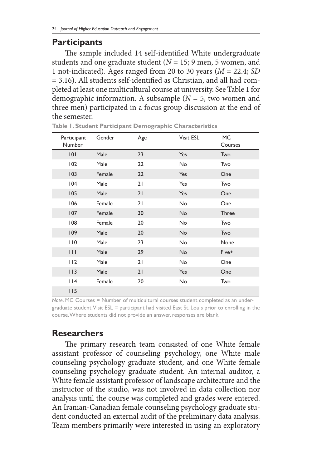#### **Participants**

The sample included 14 self-identified White undergraduate students and one graduate student (*N* = 15; 9 men, 5 women, and 1 not-indicated). Ages ranged from 20 to 30 years (*M* = 22.4; *SD*  = 3.16). All students self-identified as Christian, and all had completed at least one multicultural course at university. See Table 1 for demographic information. A subsample (*N* = 5, two women and three men) participated in a focus group discussion at the end of the semester.

| Participant<br>Number | Gender | Age | Visit ESL | <b>MC</b><br>Courses |
|-----------------------|--------|-----|-----------|----------------------|
| 0                     | Male   | 23  | Yes       | Two                  |
| 102                   | Male   | 22  | <b>No</b> | Two                  |
| 103                   | Female | 22  | Yes       | One                  |
| 104                   | Male   | 21  | Yes       | Two                  |
| 105                   | Male   | 21  | Yes       | One                  |
| 106                   | Female | 21  | No        | One                  |
| 107                   | Female | 30  | <b>No</b> | <b>Three</b>         |
| 108                   | Female | 20  | <b>No</b> | Two                  |
| 109                   | Male   | 20  | <b>No</b> | Two                  |
| 110                   | Male   | 23  | <b>No</b> | None                 |
| $\mathbf{H}$          | Male   | 29  | No        | Five+                |
| 112                   | Male   | 21  | No        | One                  |
| 113                   | Male   | 21  | Yes       | One                  |
| 114                   | Female | 20  | No        | Two                  |
| 115                   |        |     |           |                      |

**Table 1. Student Participant Demographic Characteristics** 

*Note.* MC Courses = Number of multicultural courses student completed as an undergraduate student; Visit ESL = participant had visited East St. Louis prior to enrolling in the course. Where students did not provide an answer, responses are blank.

### **Researchers**

The primary research team consisted of one White female assistant professor of counseling psychology, one White male counseling psychology graduate student, and one White female counseling psychology graduate student. An internal auditor, a White female assistant professor of landscape architecture and the instructor of the studio, was not involved in data collection nor analysis until the course was completed and grades were entered. An Iranian-Canadian female counseling psychology graduate student conducted an external audit of the preliminary data analysis. Team members primarily were interested in using an exploratory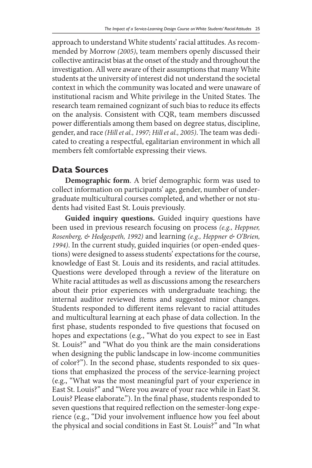approach to understand White students' racial attitudes. As recommended by Morrow *(2005)*, team members openly discussed their collective antiracist bias at the onset of the study and throughout the investigation. All were aware of their assumptions that many White students at the university of interest did not understand the societal context in which the community was located and were unaware of institutional racism and White privilege in the United States. The research team remained cognizant of such bias to reduce its effects on the analysis. Consistent with CQR, team members discussed power differentials among them based on degree status, discipline, gender, and race *(Hill et al., 1997; Hill et al., 2005)*. The team was dedicated to creating a respectful, egalitarian environment in which all members felt comfortable expressing their views.

### **Data Sources**

**Demographic form**. A brief demographic form was used to collect information on participants' age, gender, number of undergraduate multicultural courses completed, and whether or not students had visited East St. Louis previously.

**Guided inquiry questions.** Guided inquiry questions have been used in previous research focusing on process *(e.g., Heppner, Rosenberg, & Hedgespeth, 1992)* and learning *(e.g., Heppner & O'Brien, 1994)*. In the current study, guided inquiries (or open-ended questions) were designed to assess students' expectations for the course, knowledge of East St. Louis and its residents, and racial attitudes. Questions were developed through a review of the literature on White racial attitudes as well as discussions among the researchers about their prior experiences with undergraduate teaching; the internal auditor reviewed items and suggested minor changes. Students responded to different items relevant to racial attitudes and multicultural learning at each phase of data collection. In the first phase, students responded to five questions that focused on hopes and expectations (e.g., "What do you expect to see in East St. Louis?" and "What do you think are the main considerations when designing the public landscape in low-income communities of color?"). In the second phase, students responded to six questions that emphasized the process of the service-learning project (e.g., "What was the most meaningful part of your experience in East St. Louis?" and "Were you aware of your race while in East St. Louis? Please elaborate."). In the final phase, students responded to seven questions that required reflection on the semester-long experience (e.g., "Did your involvement influence how you feel about the physical and social conditions in East St. Louis?" and "In what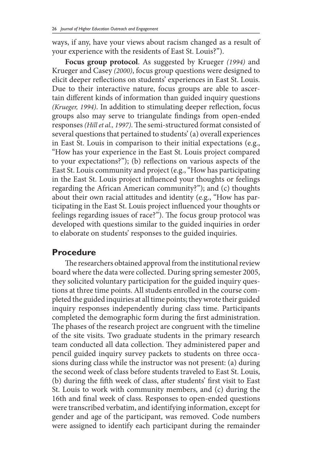ways, if any, have your views about racism changed as a result of your experience with the residents of East St. Louis?").

**Focus group protocol**. As suggested by Krueger *(1994)* and Krueger and Casey *(2000)*, focus group questions were designed to elicit deeper reflections on students' experiences in East St. Louis. Due to their interactive nature, focus groups are able to ascertain different kinds of information than guided inquiry questions *(Krueger, 1994)*. In addition to stimulating deeper reflection, focus groups also may serve to triangulate findings from open-ended responses *(Hill et al., 1997)*. The semi-structured format consisted of several questions that pertained to students' (a) overall experiences in East St. Louis in comparison to their initial expectations (e.g., "How has your experience in the East St. Louis project compared to your expectations?"); (b) reflections on various aspects of the East St. Louis community and project (e.g., "How has participating in the East St. Louis project influenced your thoughts or feelings regarding the African American community?"); and (c) thoughts about their own racial attitudes and identity (e.g., "How has participating in the East St. Louis project influenced your thoughts or feelings regarding issues of race?"). The focus group protocol was developed with questions similar to the guided inquiries in order to elaborate on students' responses to the guided inquiries.

### **Procedure**

The researchers obtained approval from the institutional review board where the data were collected. During spring semester 2005, they solicited voluntary participation for the guided inquiry questions at three time points. All students enrolled in the course completed the guided inquiries at all time points; they wrote their guided inquiry responses independently during class time. Participants completed the demographic form during the first administration. The phases of the research project are congruent with the timeline of the site visits. Two graduate students in the primary research team conducted all data collection. They administered paper and pencil guided inquiry survey packets to students on three occasions during class while the instructor was not present: (a) during the second week of class before students traveled to East St. Louis, (b) during the fifth week of class, after students' first visit to East St. Louis to work with community members, and (c) during the 16th and final week of class. Responses to open-ended questions were transcribed verbatim, and identifying information, except for gender and age of the participant, was removed. Code numbers were assigned to identify each participant during the remainder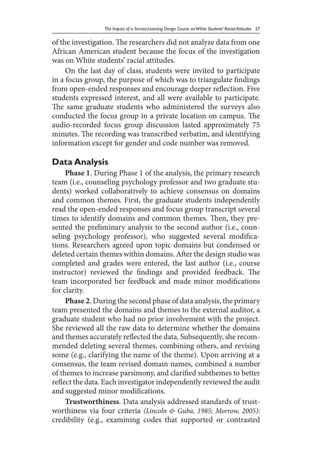of the investigation. The researchers did not analyze data from one African American student because the focus of the investigation was on White students' racial attitudes.

On the last day of class, students were invited to participate in a focus group, the purpose of which was to triangulate findings from open-ended responses and encourage deeper reflection. Five students expressed interest, and all were available to participate. The same graduate students who administered the surveys also conducted the focus group in a private location on campus. The audio-recorded focus group discussion lasted approximately 75 minutes. The recording was transcribed verbatim, and identifying information except for gender and code number was removed.

### **Data Analysis**

**Phase 1**. During Phase 1 of the analysis, the primary research team (i.e., counseling psychology professor and two graduate students) worked collaboratively to achieve consensus on domains and common themes. First, the graduate students independently read the open-ended responses and focus group transcript several times to identify domains and common themes. Then, they presented the preliminary analysis to the second author (i.e., counseling psychology professor), who suggested several modifications. Researchers agreed upon topic domains but condensed or deleted certain themes within domains. After the design studio was completed and grades were entered, the last author (i.e., course instructor) reviewed the findings and provided feedback. The team incorporated her feedback and made minor modifications for clarity.

**Phase 2**. During the second phase of data analysis, the primary team presented the domains and themes to the external auditor, a graduate student who had no prior involvement with the project. She reviewed all the raw data to determine whether the domains and themes accurately reflected the data. Subsequently, she recommended deleting several themes, combining others, and revising some (e.g., clarifying the name of the theme). Upon arriving at a consensus, the team revised domain names, combined a number of themes to increase parsimony, and clarified subthemes to better reflect the data. Each investigator independently reviewed the audit and suggested minor modifications.

**Trustworthiness**. Data analysis addressed standards of trustworthiness via four criteria *(Lincoln & Guba, 1985; Morrow, 2005)*: credibility (e.g., examining codes that supported or contrasted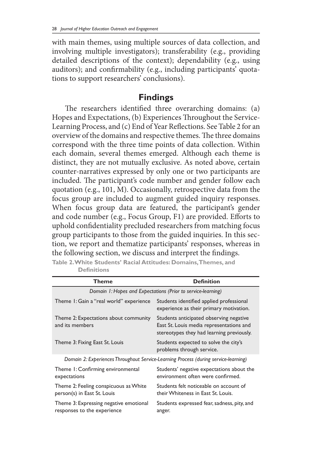with main themes, using multiple sources of data collection, and involving multiple investigators); transferability (e.g., providing detailed descriptions of the context); dependability (e.g., using auditors); and confirmability (e.g., including participants' quotations to support researchers' conclusions).

#### **Findings**

The researchers identified three overarching domains: (a) Hopes and Expectations, (b) Experiences Throughout the Service-Learning Process, and (c) End of Year Reflections. See Table 2 for an overview of the domains and respective themes. The three domains correspond with the three time points of data collection. Within each domain, several themes emerged. Although each theme is distinct, they are not mutually exclusive. As noted above, certain counter-narratives expressed by only one or two participants are included. The participant's code number and gender follow each quotation (e.g., 101, M). Occasionally, retrospective data from the focus group are included to augment guided inquiry responses. When focus group data are featured, the participant's gender and code number (e.g., Focus Group, F1) are provided. Efforts to uphold confidentiality precluded researchers from matching focus group participants to those from the guided inquiries. In this section, we report and thematize participants' responses, whereas in the following section, we discuss and interpret the findings.

| Theme                                                                               | <b>Definition</b>                                                                                                                |  |  |  |
|-------------------------------------------------------------------------------------|----------------------------------------------------------------------------------------------------------------------------------|--|--|--|
| Domain 1: Hopes and Expectations (Prior to service-learning)                        |                                                                                                                                  |  |  |  |
| Theme 1: Gain a "real world" experience                                             | Students identified applied professional<br>experience as their primary motivation.                                              |  |  |  |
| Theme 2: Expectations about community<br>and its members                            | Students anticipated observing negative<br>East St. Louis media representations and<br>stereotypes they had learning previously. |  |  |  |
| Theme 3: Fixing East St. Louis                                                      | Students expected to solve the city's<br>problems through service.                                                               |  |  |  |
| Domain 2: Experiences Throughout Service-Learning Process (during service-learning) |                                                                                                                                  |  |  |  |
| Theme 1: Confirming environmental<br>expectations                                   | Students' negative expectations about the<br>environment often were confirmed.                                                   |  |  |  |
| Theme 2: Feeling conspicuous as White<br>person(s) in East St. Louis                | Students felt noticeable on account of<br>their Whiteness in East St. Louis.                                                     |  |  |  |
| Theme 3: Expressing negative emotional<br>responses to the experience               | Students expressed fear, sadness, pity, and<br>anger.                                                                            |  |  |  |

**Table 2. White Students' Racial Attitudes: Domains, Themes, and Definitions**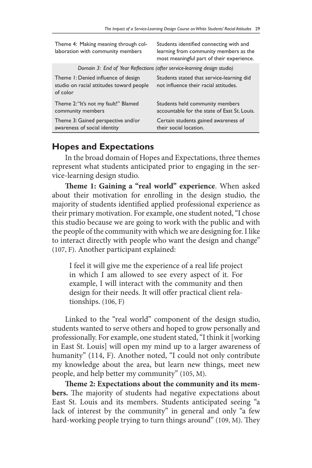| Theme 4: Making meaning through col-<br>laboration with community members                   | Students identified connecting with and<br>learning from community members as the<br>most meaningful part of their experience. |
|---------------------------------------------------------------------------------------------|--------------------------------------------------------------------------------------------------------------------------------|
|                                                                                             | Domain 3: End of Year Reflections (after service-learning design studio)                                                       |
| Theme 1: Denied influence of design<br>studio on racial attitudes toward people<br>of color | Students stated that service-learning did<br>not influence their racial attitudes.                                             |
| Theme 2: "It's not my fault!" Blamed<br>community members                                   | Students held community members<br>accountable for the state of East St. Louis.                                                |
| Theme 3: Gained perspective and/or<br>awareness of social identity                          | Certain students gained awareness of<br>their social location.                                                                 |

## **Hopes and Expectations**

In the broad domain of Hopes and Expectations, three themes represent what students anticipated prior to engaging in the service-learning design studio.

**Theme 1: Gaining a "real world" experience**. When asked about their motivation for enrolling in the design studio, the majority of students identified applied professional experience as their primary motivation. For example, one student noted, "I chose this studio because we are going to work with the public and with the people of the community with which we are designing for. I like to interact directly with people who want the design and change" (107, F). Another participant explained:

I feel it will give me the experience of a real life project in which I am allowed to see every aspect of it. For example, I will interact with the community and then design for their needs. It will offer practical client relationships. (106, F)

Linked to the "real world" component of the design studio, students wanted to serve others and hoped to grow personally and professionally. For example, one student stated, "I think it [working in East St. Louis] will open my mind up to a larger awareness of humanity" (114, F). Another noted, "I could not only contribute my knowledge about the area, but learn new things, meet new people, and help better my community" (105, M).

**Theme 2: Expectations about the community and its members.** The majority of students had negative expectations about East St. Louis and its members. Students anticipated seeing "a lack of interest by the community" in general and only "a few hard-working people trying to turn things around" (109, M). They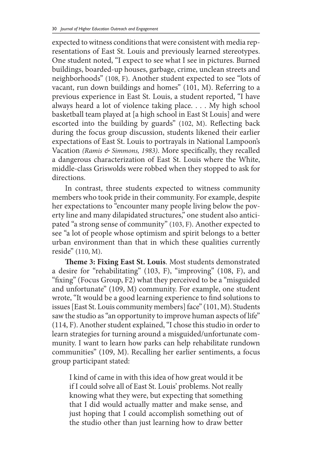expected to witness conditions that were consistent with media representations of East St. Louis and previously learned stereotypes. One student noted, "I expect to see what I see in pictures. Burned buildings, boarded-up houses, garbage, crime, unclean streets and neighborhoods" (108, F). Another student expected to see "lots of vacant, run down buildings and homes" (101, M). Referring to a previous experience in East St. Louis, a student reported, "I have always heard a lot of violence taking place. . . . My high school basketball team played at [a high school in East St Louis] and were escorted into the building by guards" (102, M). Reflecting back during the focus group discussion, students likened their earlier expectations of East St. Louis to portrayals in National Lampoon's Vacation *(Ramis & Simmons, 1983)*. More specifically, they recalled a dangerous characterization of East St. Louis where the White, middle-class Griswolds were robbed when they stopped to ask for directions.

In contrast, three students expected to witness community members who took pride in their community. For example, despite her expectations to "encounter many people living below the poverty line and many dilapidated structures," one student also anticipated "a strong sense of community" (103, F). Another expected to see "a lot of people whose optimism and spirit belongs to a better urban environment than that in which these qualities currently reside" (110, M).

**Theme 3: Fixing East St. Louis**. Most students demonstrated a desire for "rehabilitating" (103, F), "improving" (108, F), and "fixing" (Focus Group, F2) what they perceived to be a "misguided and unfortunate" (109, M) community. For example, one student wrote, "It would be a good learning experience to find solutions to issues [East St. Louis community members] face" (101, M). Students saw the studio as "an opportunity to improve human aspects of life" (114, F). Another student explained, "I chose this studio in order to learn strategies for turning around a misguided/unfortunate community. I want to learn how parks can help rehabilitate rundown communities" (109, M). Recalling her earlier sentiments, a focus group participant stated:

I kind of came in with this idea of how great would it be if I could solve all of East St. Louis' problems. Not really knowing what they were, but expecting that something that I did would actually matter and make sense, and just hoping that I could accomplish something out of the studio other than just learning how to draw better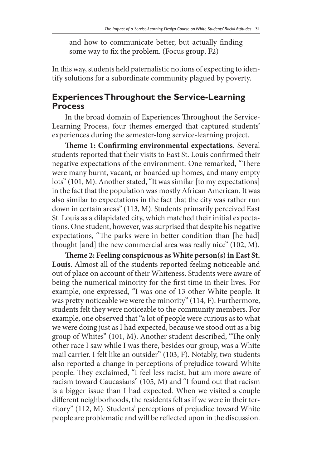and how to communicate better, but actually finding some way to fix the problem. (Focus group, F2)

In this way, students held paternalistic notions of expecting to identify solutions for a subordinate community plagued by poverty.

### **Experiences Throughout the Service-Learning Process**

In the broad domain of Experiences Throughout the Service-Learning Process, four themes emerged that captured students' experiences during the semester-long service-learning project.

**Theme 1: Confirming environmental expectations.** Several students reported that their visits to East St. Louis confirmed their negative expectations of the environment. One remarked, "There were many burnt, vacant, or boarded up homes, and many empty lots" (101, M). Another stated, "It was similar [to my expectations] in the fact that the population was mostly African American. It was also similar to expectations in the fact that the city was rather run down in certain areas" (113, M). Students primarily perceived East St. Louis as a dilapidated city, which matched their initial expectations. One student, however, was surprised that despite his negative expectations, "The parks were in better condition than [he had] thought [and] the new commercial area was really nice" (102, M).

**Theme 2: Feeling conspicuous as White person(s) in East St. Louis**. Almost all of the students reported feeling noticeable and out of place on account of their Whiteness. Students were aware of being the numerical minority for the first time in their lives. For example, one expressed, "I was one of 13 other White people. It was pretty noticeable we were the minority" (114, F). Furthermore, students felt they were noticeable to the community members. For example, one observed that "a lot of people were curious as to what we were doing just as I had expected, because we stood out as a big group of Whites" (101, M). Another student described, "The only other race I saw while I was there, besides our group, was a White mail carrier. I felt like an outsider" (103, F). Notably, two students also reported a change in perceptions of prejudice toward White people. They exclaimed, "I feel less racist, but am more aware of racism toward Caucasians" (105, M) and "I found out that racism is a bigger issue than I had expected. When we visited a couple different neighborhoods, the residents felt as if we were in their territory" (112, M). Students' perceptions of prejudice toward White people are problematic and will be reflected upon in the discussion.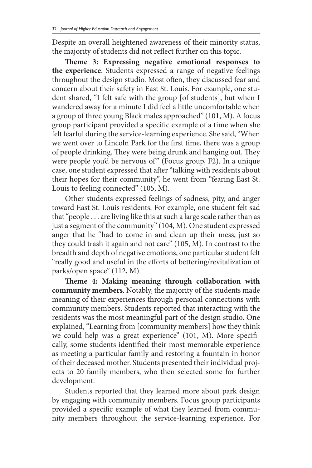Despite an overall heightened awareness of their minority status, the majority of students did not reflect further on this topic.

**Theme 3: Expressing negative emotional responses to the experience**. Students expressed a range of negative feelings throughout the design studio. Most often, they discussed fear and concern about their safety in East St. Louis. For example, one student shared, "I felt safe with the group [of students], but when I wandered away for a minute I did feel a little uncomfortable when a group of three young Black males approached" (101, M). A focus group participant provided a specific example of a time when she felt fearful during the service-learning experience. She said, "When we went over to Lincoln Park for the first time, there was a group of people drinking. They were being drunk and hanging out. They were people you'd be nervous of" (Focus group, F2). In a unique case, one student expressed that after "talking with residents about their hopes for their community", he went from "fearing East St. Louis to feeling connected" (105, M).

Other students expressed feelings of sadness, pity, and anger toward East St. Louis residents. For example, one student felt sad that "people . . . are living like this at such a large scale rather than as just a segment of the community" (104, M). One student expressed anger that he "had to come in and clean up their mess, just so they could trash it again and not care" (105, M). In contrast to the breadth and depth of negative emotions, one particular student felt "really good and useful in the efforts of bettering/revitalization of parks/open space" (112, M).

**Theme 4: Making meaning through collaboration with community members**. Notably, the majority of the students made meaning of their experiences through personal connections with community members. Students reported that interacting with the residents was the most meaningful part of the design studio. One explained, "Learning from [community members] how they think we could help was a great experience" (101, M). More specifically, some students identified their most memorable experience as meeting a particular family and restoring a fountain in honor of their deceased mother. Students presented their individual projects to 20 family members, who then selected some for further development.

Students reported that they learned more about park design by engaging with community members. Focus group participants provided a specific example of what they learned from community members throughout the service-learning experience. For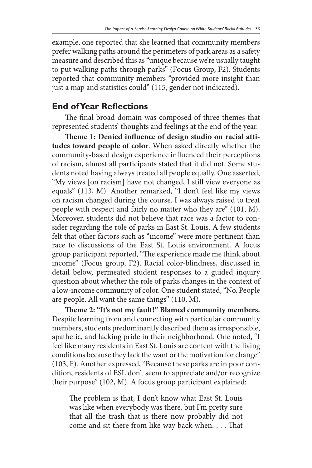example, one reported that she learned that community members prefer walking paths around the perimeters of park areas as a safety measure and described this as "unique because we're usually taught to put walking paths through parks" (Focus Group, F2). Students reported that community members "provided more insight than just a map and statistics could" (115, gender not indicated).

### **End of Year Reflections**

The final broad domain was composed of three themes that represented students' thoughts and feelings at the end of the year.

**Theme 1: Denied influence of design studio on racial attitudes toward people of color**. When asked directly whether the community-based design experience influenced their perceptions of racism, almost all participants stated that it did not. Some students noted having always treated all people equally. One asserted, "My views [on racism] have not changed, I still view everyone as equals" (113, M). Another remarked, "I don't feel like my views on racism changed during the course. I was always raised to treat people with respect and fairly no matter who they are" (101, M). Moreover, students did not believe that race was a factor to consider regarding the role of parks in East St. Louis. A few students felt that other factors such as "income" were more pertinent than race to discussions of the East St. Louis environment. A focus group participant reported, "The experience made me think about income" (Focus group, F2). Racial color-blindness, discussed in detail below, permeated student responses to a guided inquiry question about whether the role of parks changes in the context of a low-income community of color. One student stated, "No. People are people. All want the same things" (110, M).

**Theme 2: "It's not my fault!" Blamed community members.**  Despite learning from and connecting with particular community members, students predominantly described them as irresponsible, apathetic, and lacking pride in their neighborhood. One noted, "I feel like many residents in East St. Louis are content with the living conditions because they lack the want or the motivation for change" (103, F). Another expressed, "Because these parks are in poor condition, residents of ESL don't seem to appreciate and/or recognize their purpose" (102, M). A focus group participant explained:

The problem is that, I don't know what East St. Louis was like when everybody was there, but I'm pretty sure that all the trash that is there now probably did not come and sit there from like way back when. . . . That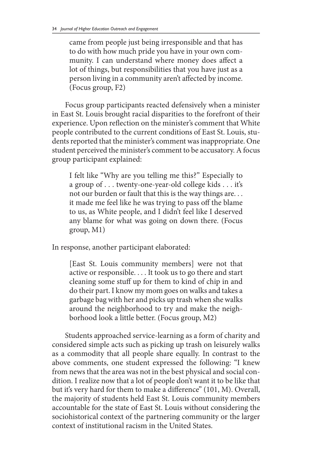came from people just being irresponsible and that has to do with how much pride you have in your own community. I can understand where money does affect a lot of things, but responsibilities that you have just as a person living in a community aren't affected by income. (Focus group, F2)

Focus group participants reacted defensively when a minister in East St. Louis brought racial disparities to the forefront of their experience. Upon reflection on the minister's comment that White people contributed to the current conditions of East St. Louis, students reported that the minister's comment was inappropriate. One student perceived the minister's comment to be accusatory. A focus group participant explained:

I felt like "Why are you telling me this?" Especially to a group of . . . twenty-one-year-old college kids . . . it's not our burden or fault that this is the way things are. . . it made me feel like he was trying to pass off the blame to us, as White people, and I didn't feel like I deserved any blame for what was going on down there. (Focus group, M1)

In response, another participant elaborated:

[East St. Louis community members] were not that active or responsible. . . . It took us to go there and start cleaning some stuff up for them to kind of chip in and do their part. I know my mom goes on walks and takes a garbage bag with her and picks up trash when she walks around the neighborhood to try and make the neighborhood look a little better. (Focus group, M2)

Students approached service-learning as a form of charity and considered simple acts such as picking up trash on leisurely walks as a commodity that all people share equally. In contrast to the above comments, one student expressed the following: "I knew from news that the area was not in the best physical and social condition. I realize now that a lot of people don't want it to be like that but it's very hard for them to make a difference" (101, M). Overall, the majority of students held East St. Louis community members accountable for the state of East St. Louis without considering the sociohistorical context of the partnering community or the larger context of institutional racism in the United States.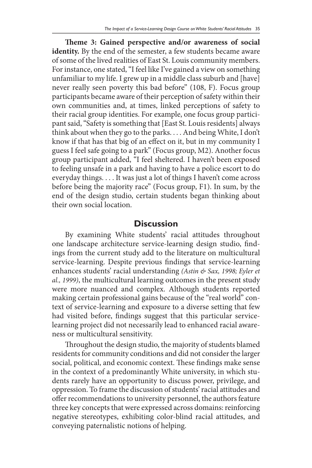**Theme 3: Gained perspective and/or awareness of social**  identity. By the end of the semester, a few students became aware of some of the lived realities of East St. Louis community members. For instance, one stated, "I feel like I've gained a view on something unfamiliar to my life. I grew up in a middle class suburb and [have] never really seen poverty this bad before" (108, F). Focus group participants became aware of their perception of safety within their own communities and, at times, linked perceptions of safety to their racial group identities. For example, one focus group participant said, "Safety is something that [East St. Louis residents] always think about when they go to the parks. . . . And being White, I don't know if that has that big of an effect on it, but in my community I guess I feel safe going to a park" (Focus group, M2). Another focus group participant added, "I feel sheltered. I haven't been exposed to feeling unsafe in a park and having to have a police escort to do everyday things. . . . It was just a lot of things I haven't come across before being the majority race" (Focus group, F1). In sum, by the end of the design studio, certain students began thinking about their own social location.

#### **Discussion**

By examining White students' racial attitudes throughout one landscape architecture service-learning design studio, findings from the current study add to the literature on multicultural service-learning. Despite previous findings that service-learning enhances students' racial understanding *(Astin & Sax, 1998; Eyler et al., 1999)*, the multicultural learning outcomes in the present study were more nuanced and complex. Although students reported making certain professional gains because of the "real world" context of service-learning and exposure to a diverse setting that few had visited before, findings suggest that this particular servicelearning project did not necessarily lead to enhanced racial awareness or multicultural sensitivity.

Throughout the design studio, the majority of students blamed residents for community conditions and did not consider the larger social, political, and economic context. These findings make sense in the context of a predominantly White university, in which students rarely have an opportunity to discuss power, privilege, and oppression. To frame the discussion of students' racial attitudes and offer recommendations to university personnel, the authors feature three key concepts that were expressed across domains: reinforcing negative stereotypes, exhibiting color-blind racial attitudes, and conveying paternalistic notions of helping.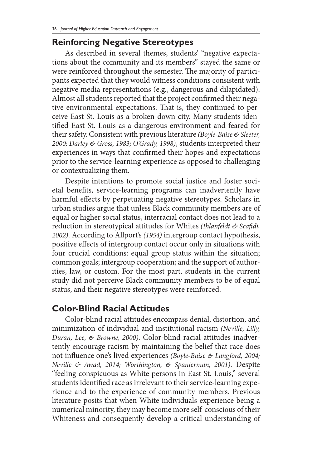## **Reinforcing Negative Stereotypes**

As described in several themes, students' "negative expectations about the community and its members" stayed the same or were reinforced throughout the semester. The majority of participants expected that they would witness conditions consistent with negative media representations (e.g., dangerous and dilapidated). Almost all students reported that the project confirmed their negative environmental expectations: That is, they continued to perceive East St. Louis as a broken-down city. Many students identified East St. Louis as a dangerous environment and feared for their safety. Consistent with previous literature *(Boyle-Baise & Sleeter, 2000; Darley & Gross, 1983; O'Grady, 1998)*, students interpreted their experiences in ways that confirmed their hopes and expectations prior to the service-learning experience as opposed to challenging or contextualizing them.

Despite intentions to promote social justice and foster societal benefits, service-learning programs can inadvertently have harmful effects by perpetuating negative stereotypes. Scholars in urban studies argue that unless Black community members are of equal or higher social status, interracial contact does not lead to a reduction in stereotypical attitudes for Whites *(Ihlanfeldt & Scafidi, 2002)*. According to Allport's *(1954)* intergroup contact hypothesis, positive effects of intergroup contact occur only in situations with four crucial conditions: equal group status within the situation; common goals; intergroup cooperation; and the support of authorities, law, or custom. For the most part, students in the current study did not perceive Black community members to be of equal status, and their negative stereotypes were reinforced.

# **Color-Blind Racial Attitudes**

Color-blind racial attitudes encompass denial, distortion, and minimization of individual and institutional racism *(Neville, Lilly, Duran, Lee, & Browne, 2000)*. Color-blind racial attitudes inadvertently encourage racism by maintaining the belief that race does not influence one's lived experiences *(Boyle-Baise & Langford, 2004; Neville & Awad, 2014; Worthington, & Spanierman, 2001)*. Despite "feeling conspicuous as White persons in East St. Louis," several students identified race as irrelevant to their service-learning experience and to the experience of community members. Previous literature posits that when White individuals experience being a numerical minority, they may become more self-conscious of their Whiteness and consequently develop a critical understanding of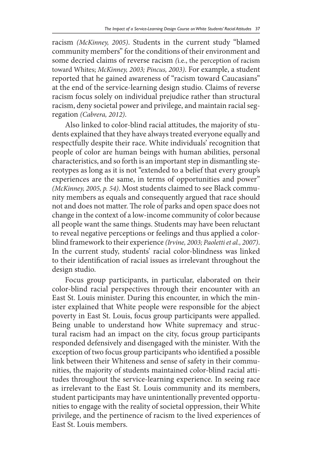racism *(McKinney, 2005)*. Students in the current study "blamed community members" for the conditions of their environment and some decried claims of reverse racism *(*i.e., the perception of racism toward Whites; *McKinney, 2003; Pincus, 2003)*. For example, a student reported that he gained awareness of "racism toward Caucasians" at the end of the service-learning design studio. Claims of reverse racism focus solely on individual prejudice rather than structural racism, deny societal power and privilege, and maintain racial segregation *(Cabrera, 2012)*.

Also linked to color-blind racial attitudes, the majority of students explained that they have always treated everyone equally and respectfully despite their race. White individuals' recognition that people of color are human beings with human abilities, personal characteristics, and so forth is an important step in dismantling stereotypes as long as it is not "extended to a belief that every group's experiences are the same, in terms of opportunities and power" *(McKinney, 2005, p. 54)*. Most students claimed to see Black community members as equals and consequently argued that race should not and does not matter. The role of parks and open space does not change in the context of a low-income community of color because all people want the same things. Students may have been reluctant to reveal negative perceptions or feelings and thus applied a colorblind framework to their experience *(Irvine, 2003; Paoletti et al., 2007)*. In the current study, students' racial color-blindness was linked to their identification of racial issues as irrelevant throughout the design studio.

Focus group participants, in particular, elaborated on their color-blind racial perspectives through their encounter with an East St. Louis minister. During this encounter, in which the minister explained that White people were responsible for the abject poverty in East St. Louis, focus group participants were appalled. Being unable to understand how White supremacy and structural racism had an impact on the city, focus group participants responded defensively and disengaged with the minister. With the exception of two focus group participants who identified a possible link between their Whiteness and sense of safety in their communities, the majority of students maintained color-blind racial attitudes throughout the service-learning experience. In seeing race as irrelevant to the East St. Louis community and its members, student participants may have unintentionally prevented opportunities to engage with the reality of societal oppression, their White privilege, and the pertinence of racism to the lived experiences of East St. Louis members.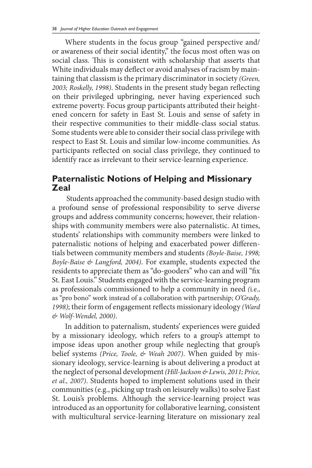Where students in the focus group "gained perspective and/ or awareness of their social identity," the focus most often was on social class. This is consistent with scholarship that asserts that White individuals may deflect or avoid analyses of racism by maintaining that classism is the primary discriminator in society *(Green, 2003; Roskelly, 1998)*. Students in the present study began reflecting on their privileged upbringing, never having experienced such extreme poverty. Focus group participants attributed their heightened concern for safety in East St. Louis and sense of safety in their respective communities to their middle-class social status. Some students were able to consider their social class privilege with respect to East St. Louis and similar low-income communities. As participants reflected on social class privilege, they continued to identify race as irrelevant to their service-learning experience.

## **Paternalistic Notions of Helping and Missionary Zeal**

 Students approached the community-based design studio with a profound sense of professional responsibility to serve diverse groups and address community concerns; however, their relationships with community members were also paternalistic. At times, students' relationships with community members were linked to paternalistic notions of helping and exacerbated power differentials between community members and students *(Boyle-Baise, 1998; Boyle-Baise & Langford, 2004)*. For example, students expected the residents to appreciate them as "do-gooders" who can and will "fix St. East Louis." Students engaged with the service-learning program as professionals commissioned to help a community in need *(*i.e., as "pro bono" work instead of a collaboration with partnership; *O'Grady, 1998)*; their form of engagement reflects missionary ideology *(Ward & Wolf-Wendel, 2000)*.

In addition to paternalism, students' experiences were guided by a missionary ideology, which refers to a group's attempt to impose ideas upon another group while neglecting that group's belief systems *(Price, Toole, & Weah 2007)*. When guided by missionary ideology, service-learning is about delivering a product at the neglect of personal development *(Hill-Jackson & Lewis, 2011; Price, et al., 2007)*. Students hoped to implement solutions used in their communities (e.g., picking up trash on leisurely walks) to solve East St. Louis's problems. Although the service-learning project was introduced as an opportunity for collaborative learning, consistent with multicultural service-learning literature on missionary zeal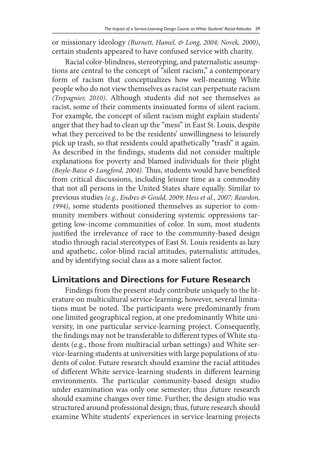or missionary ideology *(Burnett, Hamel, & Long, 2004; Novek, 2000)*, certain students appeared to have confused service with charity.

Racial color-blindness, stereotyping, and paternalistic assumptions are central to the concept of "silent racism," a contemporary form of racism that conceptualizes how well-meaning White people who do not view themselves as racist can perpetuate racism *(Trepagnier, 2010)*. Although students did not see themselves as racist, some of their comments insinuated forms of silent racism. For example, the concept of silent racism might explain students' anger that they had to clean up the "mess" in East St. Louis, despite what they perceived to be the residents' unwillingness to leisurely pick up trash, so that residents could apathetically "trash" it again. As described in the findings, students did not consider multiple explanations for poverty and blamed individuals for their plight *(Boyle-Baise & Langford, 2004)*. Thus, students would have benefited from critical discussions, including leisure time as a commodity that not all persons in the United States share equally. Similar to previous studies *(e.g., Endres & Gould, 2009; Hess et al., 2007; Reardon, 1994)*, some students positioned themselves as superior to community members without considering systemic oppressions targeting low-income communities of color. In sum, most students justified the irrelevance of race to the community-based design studio through racial stereotypes of East St. Louis residents as lazy and apathetic, color-blind racial attitudes, paternalistic attitudes, and by identifying social class as a more salient factor.

### **Limitations and Directions for Future Research**

Findings from the present study contribute uniquely to the literature on multicultural service-learning; however, several limitations must be noted. The participants were predominantly from one limited geographical region, at one predominantly White university, in one particular service-learning project. Consequently, the findings may not be transferable to different types of White students (e.g., those from multiracial urban settings) and White service-learning students at universities with large populations of students of color. Future research should examine the racial attitudes of different White service-learning students in different learning environments. The particular community-based design studio under examination was only one semester; thus ,future research should examine changes over time. Further, the design studio was structured around professional design; thus, future research should examine White students' experiences in service-learning projects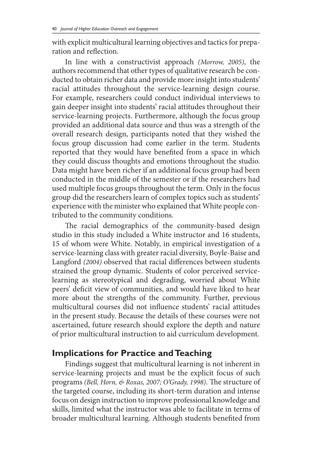with explicit multicultural learning objectives and tactics for preparation and reflection.

In line with a constructivist approach *(Morrow, 2005)*, the authors recommend that other types of qualitative research be conducted to obtain richer data and provide more insight into students' racial attitudes throughout the service-learning design course. For example, researchers could conduct individual interviews to gain deeper insight into students' racial attitudes throughout their service-learning projects. Furthermore, although the focus group provided an additional data source and thus was a strength of the overall research design, participants noted that they wished the focus group discussion had come earlier in the term. Students reported that they would have benefited from a space in which they could discuss thoughts and emotions throughout the studio. Data might have been richer if an additional focus group had been conducted in the middle of the semester or if the researchers had used multiple focus groups throughout the term. Only in the focus group did the researchers learn of complex topics such as students' experience with the minister who explained that White people contributed to the community conditions.

The racial demographics of the community-based design studio in this study included a White instructor and 16 students, 15 of whom were White. Notably, in empirical investigation of a service-learning class with greater racial diversity, Boyle-Baise and Langford *(2004)* observed that racial differences between students strained the group dynamic. Students of color perceived servicelearning as stereotypical and degrading, worried about White peers' deficit view of communities, and would have liked to hear more about the strengths of the community. Further, previous multicultural courses did not influence students' racial attitudes in the present study. Because the details of these courses were not ascertained, future research should explore the depth and nature of prior multicultural instruction to aid curriculum development.

### **Implications for Practice and Teaching**

Findings suggest that multicultural learning is not inherent in service-learning projects and must be the explicit focus of such programs *(Bell, Horn, & Roxas, 2007; O'Grady, 1998)*. The structure of the targeted course, including its short-term duration and intense focus on design instruction to improve professional knowledge and skills, limited what the instructor was able to facilitate in terms of broader multicultural learning. Although students benefited from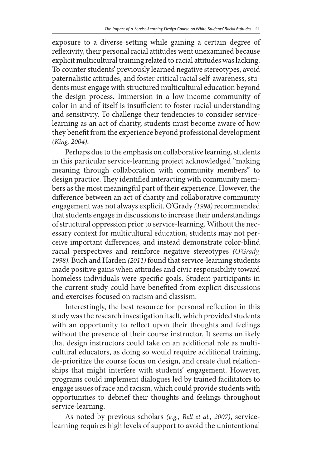exposure to a diverse setting while gaining a certain degree of reflexivity, their personal racial attitudes went unexamined because explicit multicultural training related to racial attitudes was lacking. To counter students' previously learned negative stereotypes, avoid paternalistic attitudes, and foster critical racial self-awareness, students must engage with structured multicultural education beyond the design process. Immersion in a low-income community of color in and of itself is insufficient to foster racial understanding and sensitivity. To challenge their tendencies to consider servicelearning as an act of charity, students must become aware of how they benefit from the experience beyond professional development *(King, 2004)*.

Perhaps due to the emphasis on collaborative learning, students in this particular service-learning project acknowledged "making meaning through collaboration with community members" to design practice. They identified interacting with community members as the most meaningful part of their experience. However, the difference between an act of charity and collaborative community engagement was not always explicit. O'Grady *(1998)* recommended that students engage in discussions to increase their understandings of structural oppression prior to service-learning. Without the necessary context for multicultural education, students may not perceive important differences, and instead demonstrate color-blind racial perspectives and reinforce negative stereotypes *(O'Grady, 1998)*. Buch and Harden *(2011)* found that service-learning students made positive gains when attitudes and civic responsibility toward homeless individuals were specific goals. Student participants in the current study could have benefited from explicit discussions and exercises focused on racism and classism.

Interestingly, the best resource for personal reflection in this study was the research investigation itself, which provided students with an opportunity to reflect upon their thoughts and feelings without the presence of their course instructor. It seems unlikely that design instructors could take on an additional role as multicultural educators, as doing so would require additional training, de-prioritize the course focus on design, and create dual relationships that might interfere with students' engagement. However, programs could implement dialogues led by trained facilitators to engage issues of race and racism, which could provide students with opportunities to debrief their thoughts and feelings throughout service-learning.

As noted by previous scholars *(e.g., Bell et al., 2007)*, servicelearning requires high levels of support to avoid the unintentional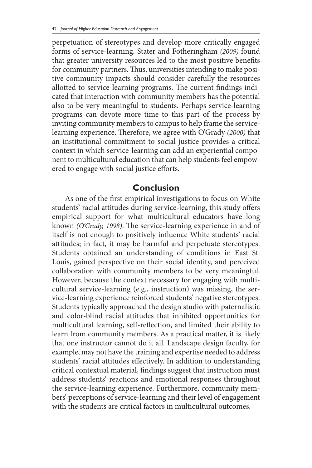perpetuation of stereotypes and develop more critically engaged forms of service-learning. Stater and Fotheringham *(2009)* found that greater university resources led to the most positive benefits for community partners. Thus, universities intending to make positive community impacts should consider carefully the resources allotted to service-learning programs. The current findings indicated that interaction with community members has the potential also to be very meaningful to students. Perhaps service-learning programs can devote more time to this part of the process by inviting community members to campus to help frame the servicelearning experience. Therefore, we agree with O'Grady *(2000)* that an institutional commitment to social justice provides a critical context in which service-learning can add an experiential component to multicultural education that can help students feel empowered to engage with social justice efforts.

#### **Conclusion**

As one of the first empirical investigations to focus on White students' racial attitudes during service-learning, this study offers empirical support for what multicultural educators have long known *(O'Grady, 1998)*. The service-learning experience in and of itself is not enough to positively influence White students' racial attitudes; in fact, it may be harmful and perpetuate stereotypes. Students obtained an understanding of conditions in East St. Louis, gained perspective on their social identity, and perceived collaboration with community members to be very meaningful. However, because the context necessary for engaging with multicultural service-learning (e.g., instruction) was missing, the service-learning experience reinforced students' negative stereotypes. Students typically approached the design studio with paternalistic and color-blind racial attitudes that inhibited opportunities for multicultural learning, self-reflection, and limited their ability to learn from community members. As a practical matter, it is likely that one instructor cannot do it all. Landscape design faculty, for example, may not have the training and expertise needed to address students' racial attitudes effectively. In addition to understanding critical contextual material, findings suggest that instruction must address students' reactions and emotional responses throughout the service-learning experience. Furthermore, community members' perceptions of service-learning and their level of engagement with the students are critical factors in multicultural outcomes.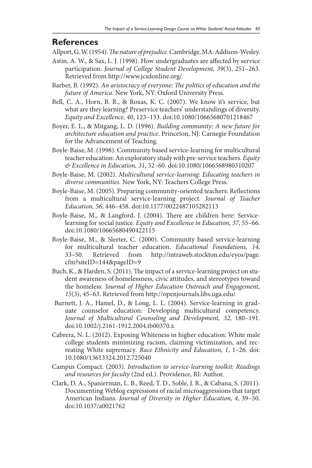## **References**

Allport, G. W. (1954). *The nature of prejudice.* Cambridge, MA: Addison-Wesley.

- Astin, A. W., & Sax, L. J. (1998). How undergraduates are affected by service participation. *Journal of College Student Development, 39*(3), 251–263. Retrieved from http://www.jcsdonline.org/
- Barber, B. (1992). *An aristocracy of everyone: The politics of education and the future of America*. New York, NY: Oxford University Press.
- Bell, C. A., Horn, B. R., & Roxas, K. C. (2007). We know it's service, but what are they learning? Preservice teachers' understandings of diversity. *Equity and Excellence, 40*, 123–133. doi:10.1080/10665680701218467
- Boyer, E. L., & Mitgang, L. D. (1996). *Building community: A new future for architecture education and practice*. Princeton, NJ: Carnegie Foundation for the Advancement of Teaching.
- Boyle-Baise, M. (1998). Community based service-learning for multicultural teacher education: An exploratory study with pre-service teachers. *Equity & Excellence in Education, 31*, 52–60. doi:10.1080/1066568980310207
- Boyle-Baise, M. (2002). *Multicultural service-learning: Educating teachers in diverse communities.* New York, NY: Teachers College Press.
- Boyle-Baise, M. (2005). Preparing community-oriented teachers: Reflections from a multicultural service-learning project. *Journal of Teacher Education, 56*, 446–458. doi:10.1177/0022487105282113
- Boyle-Baise, M., & Langford, J. (2004). There are children here: Servicelearning for social justice. *Equity and Excellence in Education, 37*, 55–66. doi:10.1080/10665680490422115
- Boyle-Baise, M., & Sleeter, C. (2000). Community based service-learning for multicultural teacher education. *Educational Foundations, 14*, 33–50. Retrieved from http://intraweb.stockton.edu/eyos/page. cfm?siteID=144&pageID=9
- Buch, K., & Harden, S. (2011). The impact of a service-learning project on student awareness of homelessness, civic attitudes, and stereotypes toward the homeless. *Journal of Higher Education Outreach and Engagement, 15*(3), 45–63. Retrieved from http://openjournals.libs.uga.edu/
- Burnett, J. A., Hamel, D., & Long, L. L. (2004). Service-learning in graduate counselor education: Developing multicultural competency. *Journal of Multicultural Counseling and Development, 32*, 180–191. doi:10.1002/j.2161-1912.2004.tb00370.x
- Cabrera, N. L. (2012). Exposing Whiteness in higher education: White male college students minimizing racism, claiming victimization, and recreating White supremacy*. Race Ethnicity and Education, 1*, 1–26. doi: 10.1080/13613324.2012.725040
- Campus Compact. (2003). *Introduction to service-learning toolkit: Readings and resources for faculty* (2nd ed.). Providence, RI: Author.
- Clark, D. A., Spanierman, L. B., Reed, T. D., Soble, J. R., & Cabana, S. (2011). Documenting Weblog expressions of racial microaggressions that target American Indians. *Journal of Diversity in Higher Education, 4*, 39–50. doi:10.1037/a0021762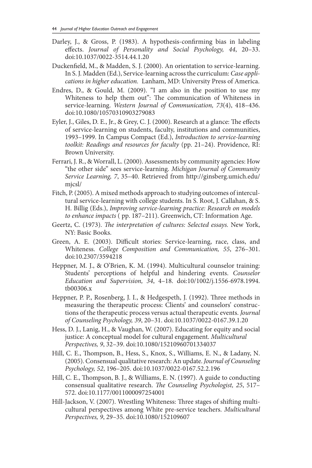- Darley, J., & Gross, P. (1983). A hypothesis-confirming bias in labeling effects. *Journal of Personality and Social Psychology, 44*, 20–33. doi:10.1037/0022-3514.44.1.20
- Duckenfield, M., & Madden, S. J. (2000). An orientation to service-learning. In S. J. Madden (Ed.), Service-learning across the curriculum: *Case applications in higher education.* Lanham, MD: University Press of America.
- Endres, D., & Gould, M. (2009). "I am also in the position to use my Whiteness to help them out": The communication of Whiteness in service-learning. *Western Journal of Communication, 73*(4), 418–436. doi:10.1080/10570310903279083
- Eyler, J., Giles, D. E., Jr., & Grey, C. J. (2000). Research at a glance: The effects of service-learning on students, faculty, institutions and communities, 1993–1999. In Campus Compact (Ed.), *Introduction to service-learning toolkit: Readings and resources for faculty* (pp. 21–24). Providence, RI: Brown University.
- Ferrari, J. R., & Worrall, L. (2000). Assessments by community agencies: How "the other side" sees service-learning. *Michigan Journal of Community Service Learning, 7*, 35–40. Retrieved from http://ginsberg.umich.edu/ mjcsl/
- Fitch, P. (2005). A mixed methods approach to studying outcomes of intercultural service-learning with college students. In S. Root, J. Callahan, & S. H. Billig (Eds.), *Improving service-learning practice: Research on models to enhance impacts* ( pp. 187–211). Greenwich, CT: Information Age.
- Geertz, C. (1973). *The interpretation of cultures: Selected essays.* New York, NY: Basic Books.
- Green, A. E. (2003). Difficult stories: Service-learning, race, class, and Whiteness. *College Composition and Communication, 55*, 276–301. doi:10.2307/3594218
- Heppner, M. J., & O'Brien, K. M. (1994). Multicultural counselor training: Students' perceptions of helpful and hindering events. *Counselor Education and Supervision, 34*, 4–18. doi:10/1002/j.1556-6978.1994. tb00306.x
- Heppner, P. P., Rosenberg, J. I., & Hedgespeth, J. (1992). Three methods in measuring the therapeutic process: Clients' and counselors' constructions of the therapeutic process versus actual therapeutic events. *Journal of Counseling Psychology, 39*, 20–31. doi:10.1037/0022-0167.39.1.20
- Hess, D. J., Lanig, H., & Vaughan, W. (2007). Educating for equity and social justice: A conceptual model for cultural engagement. *Multicultural Perspectives, 9*, 32–39. doi:10.1080/15210960701334037
- Hill, C. E., Thompson, B., Hess, S., Knox, S., Williams, E. N., & Ladany, N. (2005). Consensual qualitative research: An update. *Journal of Counseling Psychology, 52*, 196–205. doi:10.1037/0022-0167.52.2.196
- Hill, C. E., Thompson, B. J., & Williams, E. N. (1997). A guide to conducting consensual qualitative research. *The Counseling Psychologist, 25*, 517– 572. doi:10.1177/0011000097254001
- Hill-Jackson, V. (2007). Wrestling Whiteness: Three stages of shifting multicultural perspectives among White pre-service teachers. *Multicultural Perspectives, 9*, 29–35. doi:10.1080/152109607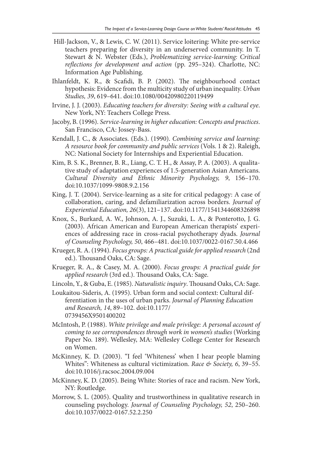- Hill-Jackson, V., & Lewis, C. W. (2011). Service loitering: White pre-service teachers preparing for diversity in an underserved community. In T. Stewart & N. Webster (Eds.), *Problematizing service-learning: Critical reflections for development and action* (pp. 295–324). Charlotte, NC: Information Age Publishing.
- Ihlanfeldt, K. R., & Scafidi, B. P. (2002). The neighbourhood contact hypothesis: Evidence from the multicity study of urban inequality. *Urban Studies, 39*, 619–641. doi:10.1080/00420980220119499
- Irvine, J. J. (2003). *Educating teachers for diversity: Seeing with a cultural eye*. New York, NY: Teachers College Press.
- Jacoby, B. (1996). *Service-learning in higher education: Concepts and practices*. San Francisco, CA: Jossey-Bass.
- Kendall, J. C., & Associates. (Eds.). (1990). *Combining service and learning: A resource book for community and public services* (Vols. 1 & 2). Raleigh, NC: National Society for Internships and Experiential Education.
- Kim, B. S. K., Brenner, B. R., Liang, C. T. H., & Assay, P. A. (2003). A qualitative study of adaptation experiences of 1.5-generation Asian Americans. *Cultural Diversity and Ethnic Minority Psychology, 9*, 156–170. doi:10.1037/1099-9808.9.2.156
- King, J. T. (2004). Service-learning as a site for critical pedagogy: A case of collaboration, caring, and defamiliarization across borders. *Journal of Experiential Education, 26*(3), 121–137. doi:10.1177/1541344608326898
- Knox, S., Burkard, A. W., Johnson, A. J., Suzuki, L. A., & Ponterotto, J. G. (2003). African American and European American therapists' experiences of addressing race in cross-racial psychotherapy dyads. *Journal of Counseling Psychology, 50*, 466–481. doi:10.1037/0022-0167.50.4.466
- Krueger, R. A. (1994). *Focus groups: A practical guide for applied research* (2nd ed.). Thousand Oaks, CA: Sage.
- Krueger, R. A., & Casey, M. A. (2000). *Focus groups: A practical guide for applied research* (3rd ed.). Thousand Oaks, CA: Sage.
- Lincoln, Y., & Guba, E. (1985). *Naturalistic inquiry*. Thousand Oaks, CA: Sage.
- Loukaitou-Sideris, A. (1995). Urban form and social context: Cultural differentiation in the uses of urban parks. *Journal of Planning Education and Research, 14*, 89–102. doi:10.1177/ 0739456X9501400202
- McIntosh, P. (1988). *White privilege and male privilege: A personal account of coming to see correspondences through work in women's studies* (Working Paper No. 189). Wellesley, MA: Wellesley College Center for Research on Women.
- McKinney, K. D. (2003). "I feel 'Whiteness' when I hear people blaming Whites": Whiteness as cultural victimization. *Race & Society, 6*, 39–55. doi:10.1016/j.racsoc.2004.09.004
- McKinney, K. D. (2005). Being White: Stories of race and racism. New York, NY: Routledge.
- Morrow, S. L. (2005). Quality and trustworthiness in qualitative research in counseling psychology. *Journal of Counseling Psychology, 52*, 250–260. doi:10.1037/0022-0167.52.2.250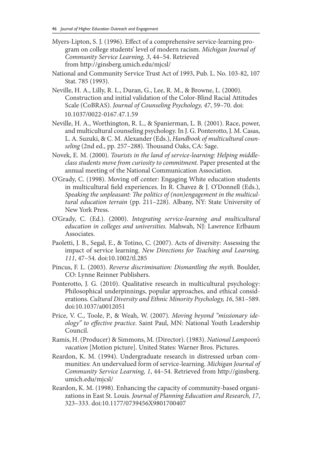- Myers-Lipton, S. J. (1996). Effect of a comprehensive service-learning program on college students' level of modern racism. *Michigan Journal of Community Service Learning, 3*, 44–54. Retrieved from http://ginsberg.umich.edu/mjcsl/
- National and Community Service Trust Act of 1993, Pub. L. No. 103-82, 107 Stat. 785 (1993).
- Neville, H. A., Lilly, R. L., Duran, G., Lee, R. M., & Browne, L. (2000). Construction and initial validation of the Color-Blind Racial Attitudes Scale (CoBRAS). *Journal of Counseling Psychology, 47*, 59–70. doi: 10.1037/0022-0167.47.1.59
- Neville, H. A., Worthington, R. L., & Spanierman, L. B. (2001). Race, power, and multicultural counseling psychology. In J. G. Ponterotto, J. M. Casas, L. A. Suzuki, & C. M. Alexander (Eds.), *Handbook of multicultural counseling* (2nd ed., pp. 257–288). Thousand Oaks, CA: Sage.
- Novek, E. M. (2000). *Tourists in the land of service-learning: Helping middleclass students move from curiosity to commitment.* Paper presented at the annual meeting of the National Communication Association.
- O'Grady, C. (1998). Moving off center: Engaging White education students in multicultural field experiences. In R. Chavez & J. O'Donnell (Eds.), *Speaking the unpleasant: The politics of (non)engagement in the multicultural education terrain* (pp. 211–228). Albany, NY: State University of New York Press.
- O'Grady, C. (Ed.). (2000). *Integrating service-learning and multicultural education in colleges and universities.* Mahwah, NJ: Lawrence Erlbaum Associates.
- Paoletti, J. B., Segal, E., & Totino, C. (2007). Acts of diversity: Assessing the impact of service learning. *New Directions for Teaching and Learning, 111*, 47–54. doi:10.1002/tl.285
- Pincus, F. L. (2003). *Reverse discrimination: Dismantling the myth.* Boulder, CO: Lynne Reinner Publishers.
- Ponterotto, J. G. (2010). Qualitative research in multicultural psychology: Philosophical underpinnings, popular approaches, and ethical considerations. *Cultural Diversity and Ethnic Minority Psychology, 16*, 581–589. doi:10.1037/a0012051
- Price, V. C., Toole, P., & Weah, W. (2007). *Moving beyond "missionary ideology" to effective practice*. Saint Paul, MN: National Youth Leadership Council.
- Ramis, H. (Producer) & Simmons, M. (Director). (1983). *National Lampoon's vacation* [Motion picture]. United States: Warner Bros. Pictures.
- Reardon, K. M. (1994). Undergraduate research in distressed urban communities: An undervalued form of service-learning. *Michigan Journal of Community Service Learning, 1*, 44–54. Retrieved from http://ginsberg. umich.edu/mjcsl/
- Reardon, K. M. (1998). Enhancing the capacity of community-based organizations in East St. Louis. *Journal of Planning Education and Research, 17*, 323–333. doi:10.1177/0739456X9801700407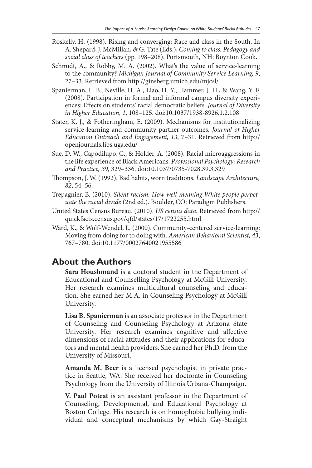- Roskelly, H. (1998). Rising and converging: Race and class in the South. In A. Shepard, J. McMillan, & G. Tate (Eds.), *Coming to class: Pedagogy and social class of teachers* (pp. 198–208). Portsmouth, NH: Boynton Cook.
- Schmidt, A., & Robby, M. A. (2002). What's the value of service-learning to the community? *Michigan Journal of Community Service Learning, 9*, 27–33. Retrieved from http://ginsberg.umich.edu/mjcsl/
- Spanierman, L. B., Neville, H. A., Liao, H. Y., Hammer, J. H., & Wang, Y. F. (2008). Participation in formal and informal campus diversity experiences: Effects on students' racial democratic beliefs. *Journal of Diversity in Higher Education, 1*, 108–125. doi:10.1037/1938-8926.1.2.108
- Stater, K. J., & Fotheringham, E. (2009). Mechanisms for institutionalizing service-learning and community partner outcomes. *Journal of Higher Education Outreach and Engagement, 13*, 7–31. Retrieved from http:// openjournals.libs.uga.edu/
- Sue, D. W., Capodilupo, C., & Holder, A. (2008). Racial microaggressions in the life experience of Black Americans. *Professional Psychology: Research and Practice, 39*, 329–336. doi:10.1037/0735-7028.39.3.329
- Thompson, J. W. (1992). Bad habits, worn traditions. *Landscape Architecture, 82*, 54–56.
- Trepagnier, B. (2010). *Silent racism: How well-meaning White people perpetuate the racial divide* (2nd ed.). Boulder, CO: Paradigm Publishers.
- United States Census Bureau. (2010). *US census data.* Retrieved from http:// quickfacts.census.gov/qfd/states/17/1722255.html
- Ward, K., & Wolf-Wendel, L. (2000). Community-centered service-learning: Moving from doing for to doing with. *American Behavioral Scientist, 43*, 767–780. doi:10.1177/00027640021955586

### **About the Authors**

**Sara Houshmand** is a doctoral student in the Department of Educational and Counselling Psychology at McGill University. Her research examines multicultural counseling and education. She earned her M.A. in Counseling Psychology at McGill University.

**Lisa B. Spanierman** is an associate professor in the Department of Counseling and Counseling Psychology at Arizona State University. Her research examines cognitive and affective dimensions of racial attitudes and their applications for educators and mental health providers. She earned her Ph.D. from the University of Missouri.

**Amanda M. Beer** is a licensed psychologist in private practice in Seattle, WA. She received her doctorate in Counseling Psychology from the University of Illinois Urbana-Champaign.

**V. Paul Poteat** is an assistant professor in the Department of Counseling, Developmental, and Educational Psychology at Boston College. His research is on homophobic bullying individual and conceptual mechanisms by which Gay-Straight